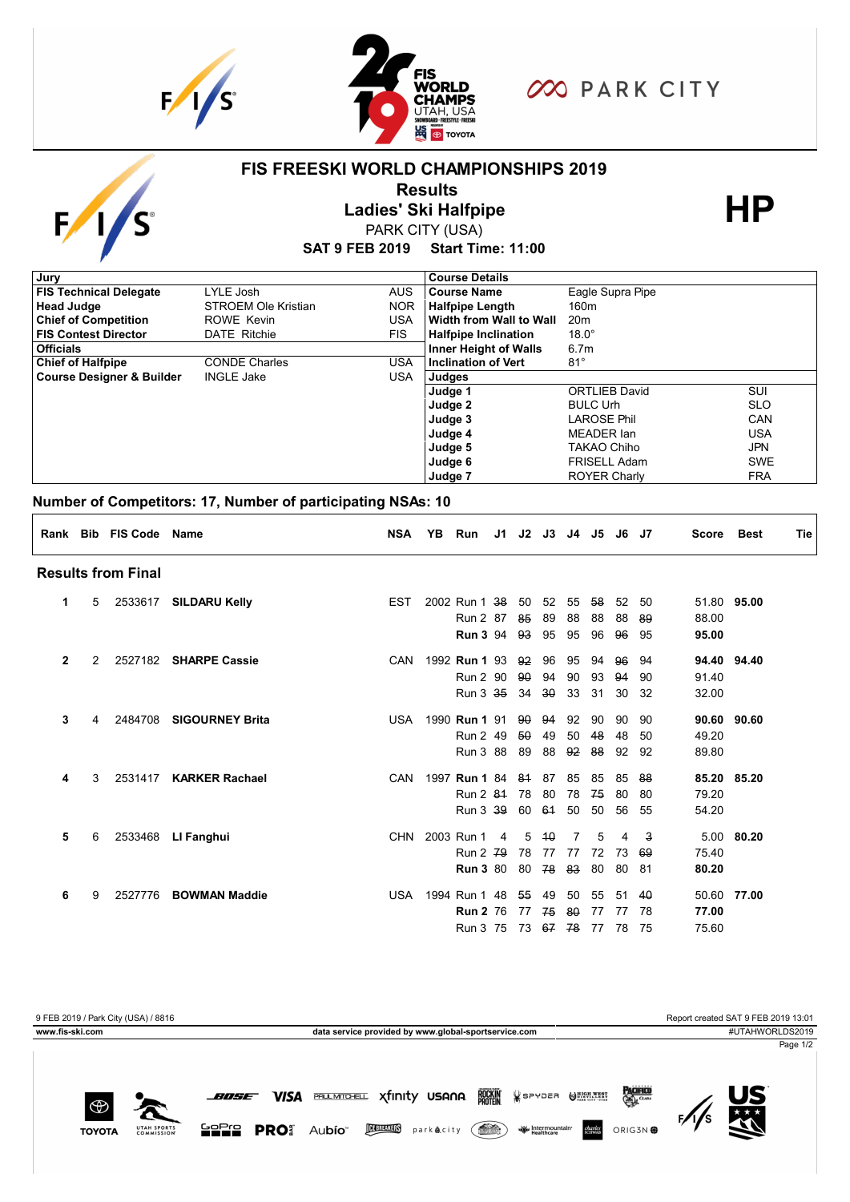



**FIS FREESKI WORLD CHAMPIONSHIPS 2019**

## **OO PARK CITY**

#### **SAT 9 FEB 2019 Start Time: 11:00 Results**<br>
Ladies' Ski Halfpipe<br>
PARK CITY (USA) PARK CITY (USA) **Judge 5 Judge 6 Judge 7** TAKAO Chiho FRISELL Adam ROYER Charly JPN SWE FRA **Judge 4** MEADER Ian USA **Judge 2 Judge 3** BULC Urh LAROSE Phil SLO CAN **Course Designer & Builder INGLE Jake JUSA** Judges **Judge 1 INGLE Jake** ORTLIEB David SUI **Chief of Halfpipe** CONDE Charles USA **Inclination of Vert** 81° **Officials** 6.7m **FIS Contest Director** DATE Ritchie FIS **Halfpipe Inclination** 18.0° **Chief of Competition** ROWE Kevin **USA Width from Wall to Wall** 20m **Head Judge STROEM Ole Kristian NOR Halfpipe Length** 160m **FIS Technical Delegate** LYLE Josh AUS **Course Name** Eagle Supra Pipe **Jury Course Details Number of Competitors: 17, Number of participating NSAs: 10 Rank Bib FIS Code Name NSA YB Run J1 J2 J3 J4 J5 J6 J7 Score Best Tie Results from Final 1** 5 2533617 **SILDARU Kelly** EST 2002 Run 1 38 50 52 55 58 52 50 51.80 **95.00 1** 5 EST 2002 Run 2 87 85 89 88 88 88 89 88.00 **1** 5 EST 2002 **Run 3** 94 93 95 95 96 96 95 **95.00 2** 2 2527182 **SHARPE Cassie** CAN 1992 **Run 1** 93 92 96 95 94 96 94 **94.40 94.40 2** 2 CAN 1992 Run 2 90 90 94 90 93 94 90 91.40 **2** 2.00 **2 2 2.00 2 2 2.00 2 2 2.00 2 2 3 2.00 2 3 2.00 2 3 2.00 2 3 2.00 2 3 2.00 2 3 2.00 2 3 2.00 2 3 2.00 2 3 2.00 2 3 2.00 2 3 2.00 2 3 2.00 2 3 2.00 2 3 2.00 2 3 2.00 2 3 2.00 2 3 2.00 2 3 2.00 2 3 2.00 2 3 2.00 2 3 3** 4 2484708 **SIGOURNEY Brita** USA 1990 **Run 1** 91 90 94 92 90 90 90 **90.60 90.60 3 1990 Run 2 49 50 49 50 48 48 50 49.20 3** 5 4  $\overline{3}$  4  $\overline{4}$  2  $\overline{4}$  5  $\overline{4}$  4  $\overline{4}$  5  $\overline{4}$  5  $\overline{4}$  5  $\overline{4}$  5  $\overline{4}$  5  $\overline{4}$  5  $\overline{4}$  5  $\overline{4}$  5  $\overline{4}$  5  $\overline{4}$  5  $\overline{4}$  5  $\overline{4}$  5  $\overline{4}$  5  $\overline{4}$  5  $\overline{4}$  5  $\overline{$ **4** 3 2531417 **KARKER Rachael** CAN 1997 **Run 1** 84 81 87 85 85 85 88 **85.20 85.20 41 2 84 78 80 78 74 80 80 79.20 Run 2 84 78 80 78 75 80 80 4** 3 CAN 1997 Run 3 39 60 61 50 50 56 55 54.20 **5** 6 2533468 **LI Fanghui** CHN 2003 Run 1 4 5 10 7 5 4 3 5.00 **80.20 5** 6 CHN 2003 Run 2 79 78 77 77 72 73 69 75.40 **5** 6 CHN 2003 **Run 3** 80 80 78 83 80 80 81 **80.20 6** 9 2527776 **BOWMAN Maddie** USA 1994 Run 1 48 55 49 50 55 51 40 50.60 **77.00 6** 86 97 77 78 **Run 2** 76 77 74 86 77 77 78 77.00 **6** 9 USA 1994 Run 3 75 73 67 78 77 78 75 75.60